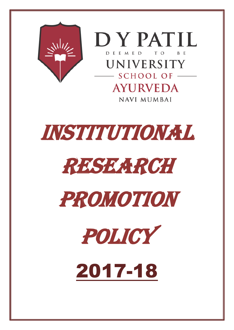



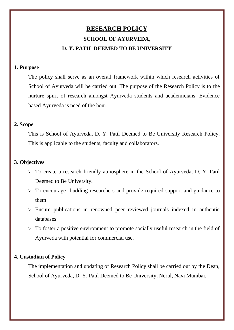# **RESEARCH POLICY SCHOOL OF AYURVEDA, D. Y. PATIL DEEMED TO BE UNIVERSITY**

## **1. Purpose**

The policy shall serve as an overall framework within which research activities of School of Ayurveda will be carried out. The purpose of the Research Policy is to the nurture spirit of research amongst Ayurveda students and academicians. Evidence based Ayurveda is need of the hour.

# **2. Scope**

This is School of Ayurveda, D. Y. Patil Deemed to Be University Research Policy. This is applicable to the students, faculty and collaborators.

## **3. Objectives**

- ➢ To create a research friendly atmosphere in the School of Ayurveda, D. Y. Patil Deemed to Be University.
- ➢ To encourage budding researchers and provide required support and guidance to them
- ➢ Ensure publications in renowned peer reviewed journals indexed in authentic databases
- $\triangleright$  To foster a positive environment to promote socially useful research in the field of Ayurveda with potential for commercial use.

# **4. Custodian of Policy**

The implementation and updating of Research Policy shall be carried out by the Dean, School of Ayurveda, D. Y. Patil Deemed to Be University, Nerul, Navi Mumbai.